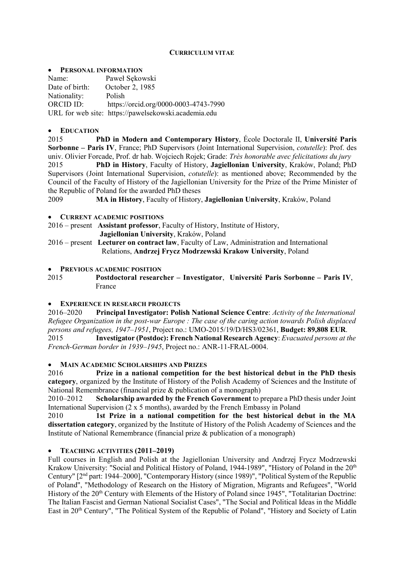## CURRICULUM VITAE

#### **• PERSONAL INFORMATION**

Name: Paweł Sekowski Date of birth: October 2, 1985 Nationality: Polish ORCID ID: https://orcid.org/0000-0003-4743-7990 URL for web site: https://pawelsekowski.academia.edu

## EDUCATION

2015 PhD in Modern and Contemporary History, École Doctorale II, Université Paris Sorbonne – Paris IV, France; PhD Supervisors (Joint International Supervision, cotutelle): Prof. des univ. Olivier Forcade, Prof. dr hab. Wojciech Rojek; Grade: Très honorable avec felicitations du jury

2015 PhD in History, Faculty of History, Jagiellonian University, Kraków, Poland; PhD Supervisors (Joint International Supervision, cotutelle): as mentioned above; Recommended by the Council of the Faculty of History of the Jagiellonian University for the Prize of the Prime Minister of the Republic of Poland for the awarded PhD theses

2009 MA in History, Faculty of History, Jagiellonian University, Kraków, Poland

### CURRENT ACADEMIC POSITIONS

2016 – present Assistant professor, Faculty of History, Institute of History, Jagiellonian University, Kraków, Poland

2016 – present Lecturer on contract law, Faculty of Law, Administration and International Relations, Andrzej Frycz Modrzewski Krakow University, Poland

#### **• PREVIOUS ACADEMIC POSITION**

2015 Postdoctoral researcher – Investigator, Université Paris Sorbonne – Paris IV, France

### EXPERIENCE IN RESEARCH PROJECTS

2016–2020 Principal Investigator: Polish National Science Centre: Activity of the International Refugee Organization in the post-war Europe : The case of the caring action towards Polish displaced persons and refugees, 1947–1951, Project no.: UMO-2015/19/D/HS3/02361, Budget: 89,808 EUR. 2015 Investigator (Postdoc): French National Research Agency: Evacuated persons at the

French-German border in 1939–1945, Project no.: ANR-11-FRAL-0004.

### MAIN ACADEMIC SCHOLARSHIPS AND PRIZES

2016 Prize in a national competition for the best historical debut in the PhD thesis category, organized by the Institute of History of the Polish Academy of Sciences and the Institute of National Remembrance (financial prize & publication of a monograph)

2010–2012 Scholarship awarded by the French Government to prepare a PhD thesis under Joint International Supervision (2 x 5 months), awarded by the French Embassy in Poland

2010 1st Prize in a national competition for the best historical debut in the MA dissertation category, organized by the Institute of History of the Polish Academy of Sciences and the Institute of National Remembrance (financial prize & publication of a monograph)

### TEACHING ACTIVITIES (2011–2019)

Full courses in English and Polish at the Jagiellonian University and Andrzej Frycz Modrzewski Krakow University: "Social and Political History of Poland, 1944-1989", "History of Poland in the 20<sup>th</sup> Century" [2nd part: 1944–2000], "Contemporary History (since 1989)", "Political System of the Republic of Poland", "Methodology of Research on the History of Migration, Migrants and Refugees", "World History of the 20<sup>th</sup> Century with Elements of the History of Poland since 1945", "Totalitarian Doctrine: The Italian Fascist and German National Socialist Cases", "The Social and Political Ideas in the Middle East in 20th Century", "The Political System of the Republic of Poland", "History and Society of Latin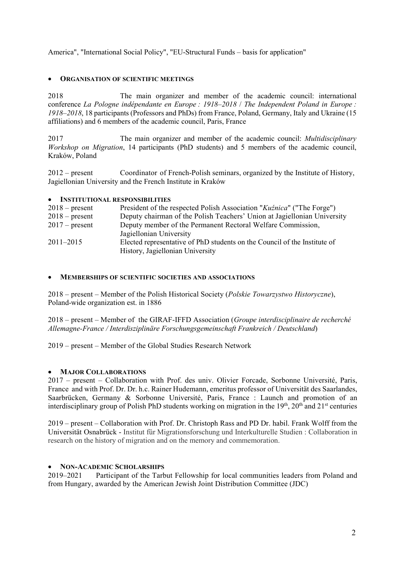America", "International Social Policy", "EU-Structural Funds – basis for application"

# ORGANISATION OF SCIENTIFIC MEETINGS

2018 The main organizer and member of the academic council: international conference La Pologne indépendante en Europe : 1918–2018 / The Independent Poland in Europe : 1918–2018, 18 participants (Professors and PhDs) from France, Poland, Germany, Italy and Ukraine (15 affiliations) and 6 members of the academic council, Paris, France

2017 The main organizer and member of the academic council: Multidisciplinary Workshop on Migration, 14 participants (PhD students) and 5 members of the academic council, Kraków, Poland

2012 – present Coordinator of French-Polish seminars, organized by the Institute of History, Jagiellonian University and the French Institute in Kraków

# INSTITUTIONAL RESPONSIBILITIES

| $2018$ – present | President of the respected Polish Association "Kuźnica" ("The Forge")     |
|------------------|---------------------------------------------------------------------------|
| $2018$ – present | Deputy chairman of the Polish Teachers' Union at Jagiellonian University  |
| $2017$ – present | Deputy member of the Permanent Rectoral Welfare Commission,               |
|                  | Jagiellonian University                                                   |
| $2011 - 2015$    | Elected representative of PhD students on the Council of the Institute of |
|                  | History, Jagiellonian University                                          |

### MEMBERSHIPS OF SCIENTIFIC SOCIETIES AND ASSOCIATIONS

2018 – present – Member of the Polish Historical Society (Polskie Towarzystwo Historyczne), Poland-wide organization est. in 1886

2018 – present – Member of the GIRAF-IFFD Association (Groupe interdisciplinaire de recherché Allemagne-France / Interdisziplinäre Forschungsgemeinschaft Frankreich / Deutschland)

2019 – present – Member of the Global Studies Research Network

### MAJOR COLLABORATIONS

2017 – present – Collaboration with Prof. des univ. Olivier Forcade, Sorbonne Université, Paris, France and with Prof. Dr. Dr. h.c. Rainer Hudemann, emeritus professor of Universität des Saarlandes, Saarbrücken, Germany & Sorbonne Université, Paris, France : Launch and promotion of an interdisciplinary group of Polish PhD students working on migration in the 19th, 20<sup>th</sup> and 21<sup>st</sup> centuries

2019 – present – Collaboration with Prof. Dr. Christoph Rass and PD Dr. habil. Frank Wolff from the Universität Osnabrück - Institut für Migrationsforschung und Interkulturelle Studien : Collaboration in research on the history of migration and on the memory and commemoration.

### • NON-ACADEMIC SCHOLARSHIPS

2019–2021 Participant of the Tarbut Fellowship for local communities leaders from Poland and from Hungary, awarded by the American Jewish Joint Distribution Committee (JDC)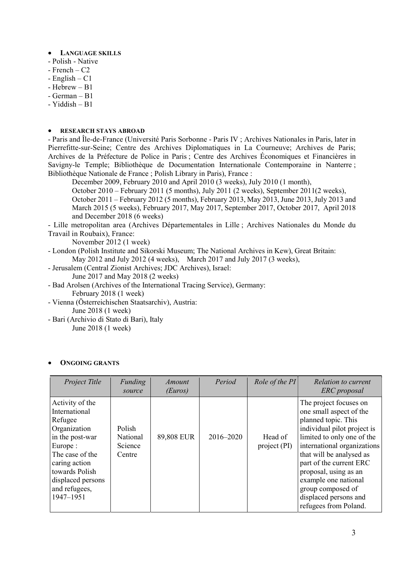### LANGUAGE SKILLS

- Polish Native
- French C2
- English C1
- $-$  Hebrew B<sub>1</sub>
- German B1
- Yiddish B1

# RESEARCH STAYS ABROAD

- Paris and Île-de-France (Université Paris Sorbonne - Paris IV ; Archives Nationales in Paris, later in Pierrefitte-sur-Seine; Centre des Archives Diplomatiques in La Courneuve; Archives de Paris; Archives de la Préfecture de Police in Paris ; Centre des Archives Économiques et Financières in Savigny-le Temple; Bibliothèque de Documentation Internationale Contemporaine in Nanterre ; Bibliothèque Nationale de France ; Polish Library in Paris), France :

December 2009, February 2010 and April 2010 (3 weeks), July 2010 (1 month),

October 2010 – February 2011 (5 months), July 2011 (2 weeks), September 2011(2 weeks),

October 2011 – February 2012 (5 months), February 2013, May 2013, June 2013, July 2013 and March 2015 (5 weeks), February 2017, May 2017, September 2017, October 2017, April 2018 and December 2018 (6 weeks)

- Lille metropolitan area (Archives Départementales in Lille ; Archives Nationales du Monde du Travail in Roubaix), France:

November 2012 (1 week)

- London (Polish Institute and Sikorski Museum; The National Archives in Kew), Great Britain: May 2012 and July 2012 (4 weeks), March 2017 and July 2017 (3 weeks),
- Jerusalem (Central Zionist Archives; JDC Archives), Israel:
	- June 2017 and May 2018 (2 weeks)
- Bad Arolsen (Archives of the International Tracing Service), Germany: February 2018 (1 week)
- Vienna (Österreichischen Staatsarchiv), Austria: June 2018 (1 week)
- Bari (Archivio di Stato di Bari), Italy June 2018 (1 week)

### ONGOING GRANTS

| Project Title                                                                                                                                                                                      | Funding<br>source                       | Amount<br>(Euros) | Period    | Role of the PI          | Relation to current<br>ERC proposal                                                                                                                                                                                                                                                                                                                 |
|----------------------------------------------------------------------------------------------------------------------------------------------------------------------------------------------------|-----------------------------------------|-------------------|-----------|-------------------------|-----------------------------------------------------------------------------------------------------------------------------------------------------------------------------------------------------------------------------------------------------------------------------------------------------------------------------------------------------|
| Activity of the<br>International<br>Refugee<br>Organization<br>in the post-war<br>Europe:<br>The case of the<br>caring action<br>towards Polish<br>displaced persons<br>and refugees,<br>1947-1951 | Polish<br>National<br>Science<br>Centre | 89,808 EUR        | 2016-2020 | Head of<br>project (PI) | The project focuses on<br>one small aspect of the<br>planned topic. This<br>individual pilot project is<br>limited to only one of the<br>international organizations<br>that will be analysed as<br>part of the current ERC<br>proposal, using as an<br>example one national<br>group composed of<br>displaced persons and<br>refugees from Poland. |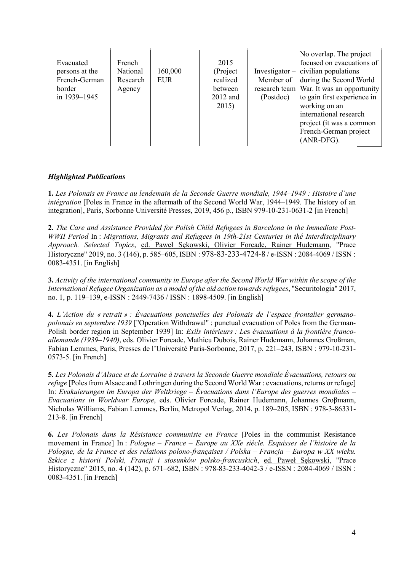| Evacuated<br>persons at the<br>French-German<br>border<br>in 1939-1945 | French<br>National<br>Research<br>Agency | 160,000<br>EUR | 2015<br>(Project<br>realized<br>between<br>2012 and<br>2015) | Investigator $-$<br>Member of<br>(Postdoc) | No overlap. The project<br>focused on evacuations of<br>civilian populations<br>during the Second World<br>research team   War. It was an opportunity<br>to gain first experience in<br>working on an<br>international research<br>project (it was a common<br>French-German project<br>(ANR-DFG). |
|------------------------------------------------------------------------|------------------------------------------|----------------|--------------------------------------------------------------|--------------------------------------------|----------------------------------------------------------------------------------------------------------------------------------------------------------------------------------------------------------------------------------------------------------------------------------------------------|
|------------------------------------------------------------------------|------------------------------------------|----------------|--------------------------------------------------------------|--------------------------------------------|----------------------------------------------------------------------------------------------------------------------------------------------------------------------------------------------------------------------------------------------------------------------------------------------------|

# Highlighted Publications

1. Les Polonais en France au lendemain de la Seconde Guerre mondiale, 1944–1949 : Histoire d'une intégration [Poles in France in the aftermath of the Second World War, 1944–1949. The history of an integration], Paris, Sorbonne Université Presses, 2019, 456 p., ISBN 979-10-231-0631-2 [in French]

2. The Care and Assistance Provided for Polish Child Refugees in Barcelona in the Immediate Post-WWII Period In : Migrations, Migrants and Refugees in 19th-21st Centuries in thé Interdisciplinary Approach. Selected Topics, ed. Paweł Sękowski, Olivier Forcade, Rainer Hudemann, "Prace Historyczne" 2019, no. 3 (146), p. 585–605, ISBN : 978-83-233-4724-8 / e-ISSN : 2084-4069 / ISSN : 0083-4351. [in English]

3. Activity of the international community in Europe after the Second World War within the scope of the International Refugee Organization as a model of the aid action towards refugees, "Securitologia" 2017, no. 1, p. 119–139, e-ISSN : 2449-7436 / ISSN : 1898-4509. [in English]

4. L'Action du « retrait » : Évacuations ponctuelles des Polonais de l'espace frontalier germanopolonais en septembre 1939 ["Operation Withdrawal" : punctual evacuation of Poles from the German-Polish border region in September 1939] In: Exils intérieurs : Les évacuations à la frontière francoallemande (1939–1940), eds. Olivier Forcade, Mathieu Dubois, Rainer Hudemann, Johannes Großman, Fabian Lemmes, Paris, Presses de l'Université Paris-Sorbonne, 2017, p. 221–243, ISBN : 979-10-231- 0573-5. [in French]

5. Les Polonais d'Alsace et de Lorraine à travers la Seconde Guerre mondiale Évacuations, retours ou refuge [Poles from Alsace and Lothringen during the Second World War : evacuations, returns or refuge] In: Evakuierungen im Europa der Weltkriege – Évacuations dans l'Europe des guerres mondiales – Evacuations in Worldwar Europe, eds. Olivier Forcade, Rainer Hudemann, Johannes Groβmann, Nicholas Williams, Fabian Lemmes, Berlin, Metropol Verlag, 2014, p. 189–205, ISBN : 978-3-86331- 213-8. [in French]

6. Les Polonais dans la Résistance communiste en France [Poles in the communist Resistance movement in France] In : Pologne – France – Europe au XXe siècle. Esquisses de l'histoire de la Pologne, de la France et des relations polono-françaises / Polska – Francja – Europa w XX wieku. Szkice z historii Polski, Francji i stosunków polsko-francuskich, ed. Paweł Sękowski, "Prace Historyczne" 2015, no. 4 (142), p. 671–682, ISBN : 978-83-233-4042-3 / e-ISSN : 2084-4069 / ISSN : 0083-4351. [in French]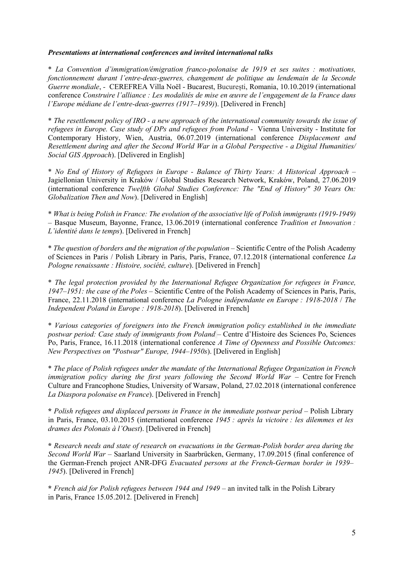## Presentations at international conferences and invited international talks

\* La Convention d'immigration/émigration franco-polonaise de 1919 et ses suites : motivations, fonctionnement durant l'entre-deux-guerres, changement de politique au lendemain de la Seconde Guerre mondiale, - CEREFREA Villa Noël - Bucarest, București, Romania, 10.10.2019 (international conference Construire l'alliance : Les modalités de mise en œuvre de l'engagement de la France dans l'Europe médiane de l'entre-deux-guerres (1917–1939)). [Delivered in French]

\* The resettlement policy of IRO - a new approach of the international community towards the issue of refugees in Europe. Case study of DPs and refugees from Poland - Vienna University - Institute for Contemporary History, Wien, Austria, 06.07.2019 (international conference Displacement and Resettlement during and after the Second World War in a Global Perspective - a Digital Humanities/ Social GIS Approach). [Delivered in English]

\* No End of History of Refugees in Europe - Balance of Thirty Years: A Historical Approach – Jagiellonian University in Kraków / Global Studies Research Network, Kraków, Poland, 27.06.2019 (international conference Twelfth Global Studies Conference: The "End of History" 30 Years On: Globalization Then and Now). [Delivered in English]

\* What is being Polish in France: The evolution of the associative life of Polish immigrants (1919-1949) – Basque Museum, Bayonne, France, 13.06.2019 (international conference Tradition et Innovation : L'identité dans le temps). [Delivered in French]

\* The question of borders and the migration of the population – Scientific Centre of the Polish Academy of Sciences in Paris / Polish Library in Paris, Paris, France, 07.12.2018 (international conference La Pologne renaissante : Histoire, société, culture). [Delivered in French]

\* The legal protection provided by the International Refugee Organization for refugees in France, 1947–1951: the case of the Poles – Scientific Centre of the Polish Academy of Sciences in Paris, Paris, France, 22.11.2018 (international conference La Pologne indépendante en Europe : 1918-2018 / The Independent Poland in Europe : 1918-2018). [Delivered in French]

\* Various categories of foreigners into the French immigration policy established in the immediate postwar period: Case study of immigrants from Poland – Centre d'Histoire des Sciences Po, Sciences Po, Paris, France, 16.11.2018 (international conference A Time of Openness and Possible Outcomes: New Perspectives on "Postwar" Europe, 1944–1950s). [Delivered in English]

\* The place of Polish refugees under the mandate of the International Refugee Organization in French immigration policy during the first years following the Second World War – Centre for French Culture and Francophone Studies, University of Warsaw, Poland, 27.02.2018 (international conference La Diaspora polonaise en France). [Delivered in French]

\* Polish refugees and displaced persons in France in the immediate postwar period – Polish Library in Paris, France, 03.10.2015 (international conference 1945 : après la victoire : les dilemmes et les drames des Polonais à l'Ouest). [Delivered in French]

\* Research needs and state of research on evacuations in the German-Polish border area during the Second World War – Saarland University in Saarbrücken, Germany, 17.09.2015 (final conference of the German-French project ANR-DFG Evacuated persons at the French-German border in 1939– 1945). [Delivered in French]

\* French aid for Polish refugees between 1944 and 1949 – an invited talk in the Polish Library in Paris, France 15.05.2012. [Delivered in French]